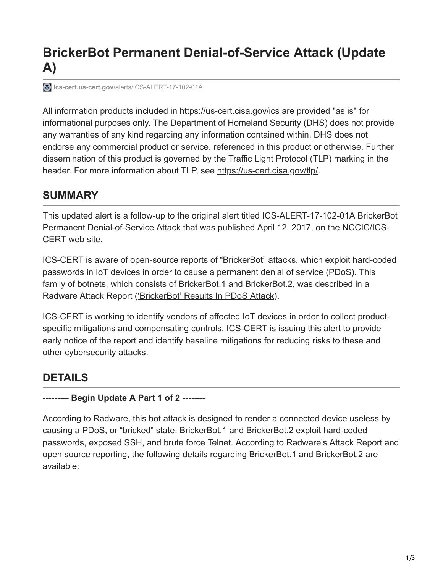# **BrickerBot Permanent Denial-of-Service Attack (Update A)**

**ics-cert.us-cert.gov**[/alerts/ICS-ALERT-17-102-01A](https://ics-cert.us-cert.gov/alerts/ICS-ALERT-17-102-01A)

All information products included in [https://us-cert.cisa.gov/ics](https://ics-cert.us-cert.gov/ics) are provided "as is" for informational purposes only. The Department of Homeland Security (DHS) does not provide any warranties of any kind regarding any information contained within. DHS does not endorse any commercial product or service, referenced in this product or otherwise. Further dissemination of this product is governed by the Traffic Light Protocol (TLP) marking in the header. For more information about TLP, see [https://us-cert.cisa.gov/tlp/.](https://ics-cert.us-cert.gov/tlp/)

### **SUMMARY**

This updated alert is a follow-up to the original alert titled ICS-ALERT-17-102-01A BrickerBot Permanent Denial-of-Service Attack that was published April 12, 2017, on the NCCIC/ICS-CERT web site.

ICS-CERT is aware of open-source reports of "BrickerBot" attacks, which exploit hard-coded passwords in IoT devices in order to cause a permanent denial of service (PDoS). This family of botnets, which consists of BrickerBot.1 and BrickerBot.2, was described in a Radware Attack Report [\('BrickerBot' Results In PDoS Attack](https://security.radware.com/ddos-threats-attacks/brickerbot-pdos-permanent-denial-of-service/)).

ICS-CERT is working to identify vendors of affected IoT devices in order to collect productspecific mitigations and compensating controls. ICS-CERT is issuing this alert to provide early notice of the report and identify baseline mitigations for reducing risks to these and other cybersecurity attacks.

### **DETAILS**

#### **--------- Begin Update A Part 1 of 2 --------**

According to Radware, this bot attack is designed to render a connected device useless by causing a PDoS, or "bricked" state. BrickerBot.1 and BrickerBot.2 exploit hard-coded passwords, exposed SSH, and brute force Telnet. According to Radware's Attack Report and open source reporting, the following details regarding BrickerBot.1 and BrickerBot.2 are available: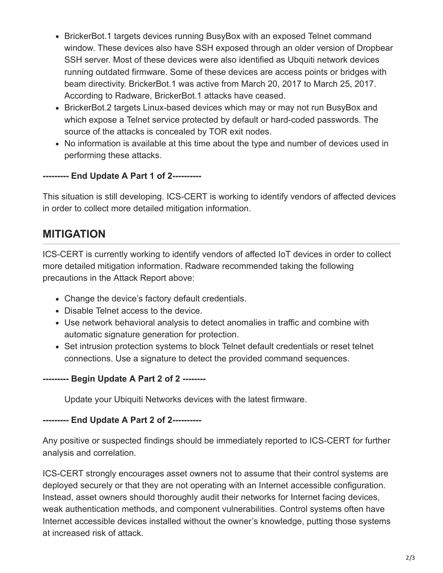- BrickerBot.1 targets devices running BusyBox with an exposed Telnet command window. These devices also have SSH exposed through an older version of Dropbear SSH server. Most of these devices were also identified as Ubquiti network devices running outdated firmware. Some of these devices are access points or bridges with beam directivity. BrickerBot.1 was active from March 20, 2017 to March 25, 2017. According to Radware, BrickerBot.1 attacks have ceased.
- BrickerBot.2 targets Linux-based devices which may or may not run BusyBox and which expose a Telnet service protected by default or hard-coded passwords. The source of the attacks is concealed by TOR exit nodes.
- No information is available at this time about the type and number of devices used in performing these attacks.

#### **--------- End Update A Part 1 of 2----------**

This situation is still developing. ICS-CERT is working to identify vendors of affected devices in order to collect more detailed mitigation information.

### **MITIGATION**

ICS-CERT is currently working to identify vendors of affected IoT devices in order to collect more detailed mitigation information. Radware recommended taking the following precautions in the Attack Report above:

- Change the device's factory default credentials.
- Disable Telnet access to the device.
- Use network behavioral analysis to detect anomalies in traffic and combine with automatic signature generation for protection.
- Set intrusion protection systems to block Telnet default credentials or reset telnet connections. Use a signature to detect the provided command sequences.

#### **--------- Begin Update A Part 2 of 2 --------**

Update your Ubiquiti Networks devices with the latest firmware.

**--------- End Update A Part 2 of 2----------**

Any positive or suspected findings should be immediately reported to ICS-CERT for further analysis and correlation.

ICS-CERT strongly encourages asset owners not to assume that their control systems are deployed securely or that they are not operating with an Internet accessible configuration. Instead, asset owners should thoroughly audit their networks for Internet facing devices, weak authentication methods, and component vulnerabilities. Control systems often have Internet accessible devices installed without the owner's knowledge, putting those systems at increased risk of attack.